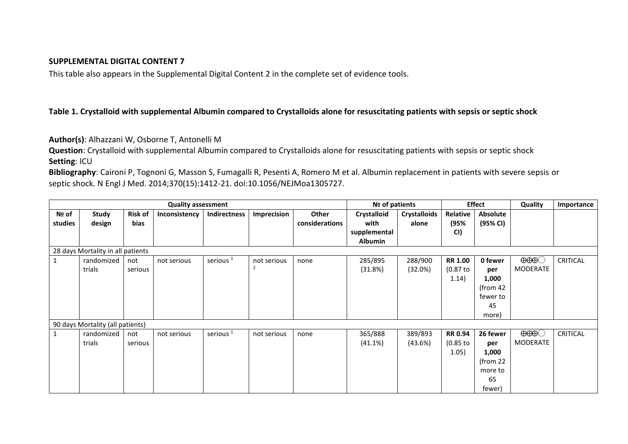## **SUPPLEMENTAL DIGITAL CONTENT 7**

This table also appears in the Supplemental Digital Content 2 in the complete set of evidence tools.

## **Table 1. Crystalloid with supplemental Albumin compared to Crystalloids alone for resuscitating patients with sepsis or septic shock**

**Author(s)**: Alhazzani W, Osborne T, Antonelli M

**Question**: Crystalloid with supplemental Albumin compared to Crystalloids alone for resuscitating patients with sepsis or septic shock **Setting**: ICU

**Bibliography**: Caironi P, Tognoni G, Masson S, Fumagalli R, Pesenti A, Romero M et al. Albumin replacement in patients with severe sepsis or septic shock. N Engl J Med. 2014;370(15):1412-21. doi:10.1056/NEJMoa1305727.

| <b>Quality assessment</b>         |                        |                        |               |                      |             | Nº of patients          |                                | <b>Effect</b>                |                  | Quality              | Importance           |                 |
|-----------------------------------|------------------------|------------------------|---------------|----------------------|-------------|-------------------------|--------------------------------|------------------------------|------------------|----------------------|----------------------|-----------------|
| Nº of<br>studies                  | <b>Study</b><br>design | <b>Risk of</b><br>bias | Inconsistency | Indirectness         | Imprecision | Other<br>considerations | Crystalloid<br>with            | <b>Crystalloids</b><br>alone | Relative<br>(95% | Absolute<br>(95% CI) |                      |                 |
|                                   |                        |                        |               |                      |             |                         | supplemental<br><b>Albumin</b> |                              | CI)              |                      |                      |                 |
| 28 days Mortality in all patients |                        |                        |               |                      |             |                         |                                |                              |                  |                      |                      |                 |
|                                   | randomized             | not                    | not serious   | serious <sup>1</sup> | not serious | none                    | 285/895                        | 288/900                      | <b>RR 1.00</b>   | 0 fewer              | $\Theta\Theta\Theta$ | <b>CRITICAL</b> |
|                                   | trials                 | serious                |               |                      | 2           |                         | (31.8%)                        | (32.0%)                      | (0.87 to         | per                  | <b>MODERATE</b>      |                 |
|                                   |                        |                        |               |                      |             |                         |                                |                              | 1.14)            | 1,000                |                      |                 |
|                                   |                        |                        |               |                      |             |                         |                                |                              |                  | (from $42$           |                      |                 |
|                                   |                        |                        |               |                      |             |                         |                                |                              |                  | fewer to             |                      |                 |
|                                   |                        |                        |               |                      |             |                         |                                |                              |                  | 45                   |                      |                 |
|                                   |                        |                        |               |                      |             |                         |                                |                              |                  | more)                |                      |                 |
| 90 days Mortality (all patients)  |                        |                        |               |                      |             |                         |                                |                              |                  |                      |                      |                 |
| $\mathbf{1}$                      | randomized             | not                    | not serious   | serious <sup>1</sup> | not serious | none                    | 365/888                        | 389/893                      | <b>RR 0.94</b>   | 26 fewer             | $\Theta\Theta\Theta$ | <b>CRITICAL</b> |
|                                   | trials                 | serious                |               |                      |             |                         | (41.1%)                        | (43.6%)                      | $(0.85$ to       | per                  | <b>MODERATE</b>      |                 |
|                                   |                        |                        |               |                      |             |                         |                                |                              | 1.05)            | 1,000                |                      |                 |
|                                   |                        |                        |               |                      |             |                         |                                |                              |                  | (from $22$           |                      |                 |
|                                   |                        |                        |               |                      |             |                         |                                |                              |                  | more to              |                      |                 |
|                                   |                        |                        |               |                      |             |                         |                                |                              |                  | 65                   |                      |                 |
|                                   |                        |                        |               |                      |             |                         |                                |                              |                  | fewer)               |                      |                 |